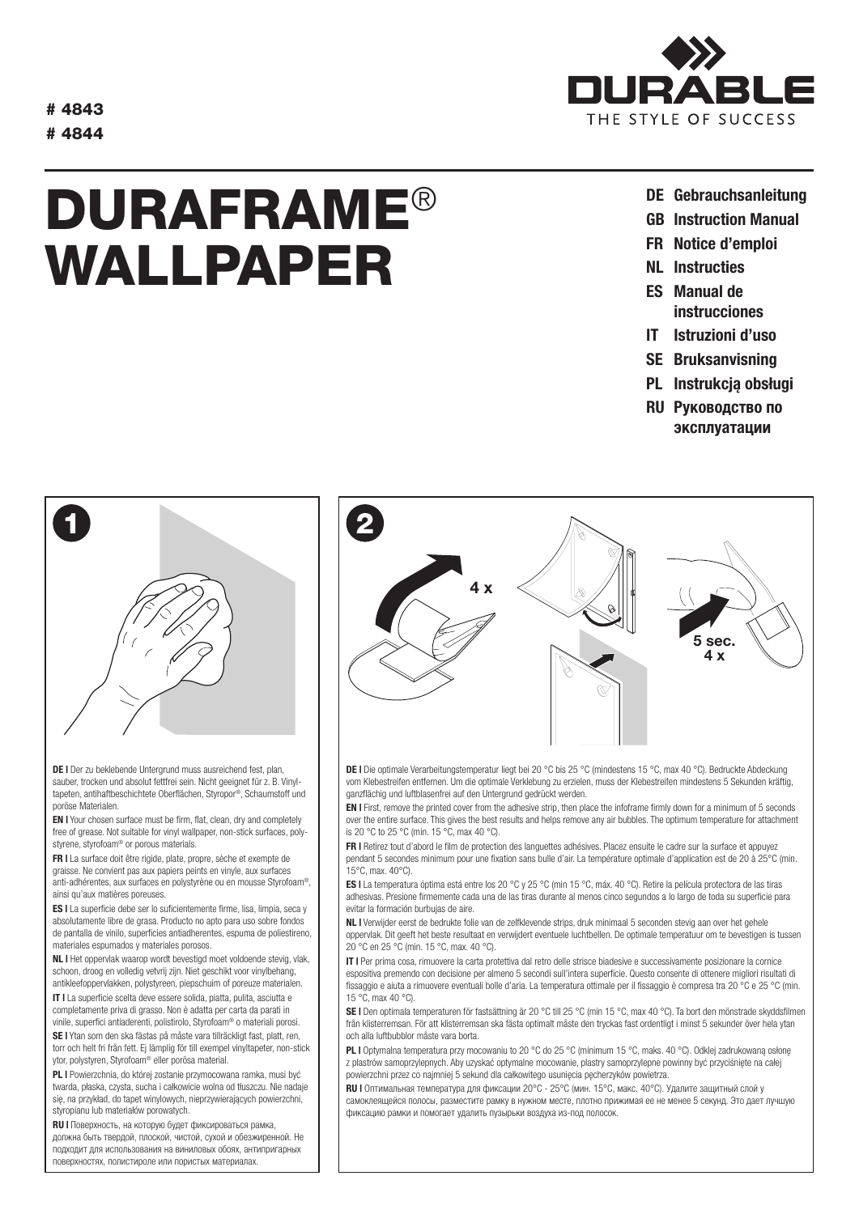# 4843 # 4844

## DURAFRAME® WALLPAPER



- DE Gebrauchsanleitung
- GB Instruction Manual
- FR Notice d'emploi
- NL Instructies
- ES Manual de instrucciones
- IT Istruzioni d'uso
- SE Bruksanvisning
- PL Instrukcją obsługi
- RU Pуководство по эксплуатации



DE | Der zu beklebende Untergrund muss ausreichend fest, plan, sauber, trocken und absolut fettfrei sein. Nicht geeignet für z. B. Vinyltapeten, antihaftbeschichtete Oberflächen, Styropor®, Schaumstoff und poröse Materialen.

EN | Your chosen surface must be firm, flat, clean, dry and completely free of grease. Not suitable for vinyl wallpaper, non-stick surfaces, polystyrene, styrofoam® or porous materials.

FR | La surface doit être rigide, plate, propre, sèche et exempte de graisse. Ne convient pas aux papiers peints en vinyle, aux surfaces anti-adhérentes, aux surfaces en polystyrène ou en mousse Styrofoam®, ainsi qu'aux matières poreuses.

ES | La superficie debe ser lo suficientemente firme, lisa, limpia, seca y absolutamente libre de grasa. Producto no apto para uso sobre fondos de pantalla de vinilo, superficies antiadherentes, espuma de poliestireno, materiales espumados y materiales porosos.

NL | Het oppervlak waarop wordt bevestigd moet voldoende stevig, vlak, schoon, droog en volledig vetvrij zijn. Niet geschikt voor vinylbehang, antikleefoppervlakken, polystyreen, piepschuim of poreuze materialen.

IT | La superficie scelta deve essere solida, piatta, pulita, asciutta e completamente priva di grasso. Non è adatta per carta da parati in vinile, superfici antiaderenti, polistirolo, Styrofoam® o materiali porosi.

SE | Ytan som den ska fästas på måste vara tillräckligt fast, platt, ren, torr och helt fri från fett. Ej lämplig för till exempel vinyltapeter, non-stick ytor, polystyren, Styrofoam® eller porösa material.

PL | Powierzchnia, do której zostanie przymocowana ramka, musi być twarda, płaska, czysta, sucha i całkowicie wolna od tłuszczu. Nie nadaje się, na przykład, do tapet winylowych, nieprzywierających powierzchni, styropianu lub materiałów porowatych.

**RU | Поверхность, на которую будет фиксироваться рамка,** должна быть твердой, плоской, чистой, сухой и обезжиренной. Не подходит для использования на виниловых обоях, антипригарных поверхностях, полистироле или пористых материалах.



DE | Die optimale Verarbeitungstemperatur liegt bei 20 °C bis 25 °C (mindestens 15 °C, max 40 °C). Bedruckte Abdeckung vom Klebestreifen entfernen. Um die optimale Verklebung zu erzielen, muss der Klebestreifen mindestens 5 Sekunden kräftig, ganzflächig und luftblasenfrei auf den Untergrund gedrückt werden.

EN | First, remove the printed cover from the adhesive strip, then place the infoframe firmly down for a minimum of 5 seconds over the entire surface. This gives the best results and helps remove any air bubbles. The optimum temperature for attachment is 20 °C to 25 °C (min. 15 °C, max 40 °C).

FR | Retirez tout d'abord le film de protection des languettes adhésives. Placez ensuite le cadre sur la surface et appuyez pendant 5 secondes minimum pour une fixation sans bulle d'air. La température optimale d'application est de 20 à 25°C (min. 15°C, max. 40°C).

ES | La temperatura óptima está entre los 20 °C y 25 °C (min 15 °C, máx. 40 °C). Retire la película protectora de las tiras adhesivas. Presione firmemente cada una de las tiras durante al menos cinco segundos a lo largo de toda su superficie para evitar la formación burbujas de aire.

NL | Verwijder eerst de bedrukte folie van de zelfklevende strips, druk minimaal 5 seconden stevig aan over het gehele oppervlak. Dit geeft het beste resultaat en verwijdert eventuele luchtbellen. De optimale temperatuur om te bevestigen is tussen 20 °C en 25 °C (min. 15 °C, max. 40 °C).

IT | Per prima cosa, rimuovere la carta protettiva dal retro delle strisce biadesive e successivamente posizionare la cornice espositiva premendo con decisione per almeno 5 secondi sull'intera superficie. Questo consente di ottenere migliori risultati di fissaggio e aiuta a rimuovere eventuali bolle d'aria. La temperatura ottimale per il fissaggio è compresa tra 20 °C e 25 °C (min. 15 °C, max 40 °C).

SE | Den optimala temperaturen för fastsättning är 20 °C till 25 °C (min 15 °C, max 40 °C). Ta bort den mönstrade skyddsfilmen från klisterremsan. För att klisterremsan ska fästa optimalt måste den tryckas fast ordentligt i minst 5 sekunder över hela ytan och alla luftbubblor måste vara borta.

PL I Optymalna temperatura przy mocowaniu to 20 °C do 25 °C (minimum 15 °C, maks. 40 °C). Odklej zadrukowaną osłonę z plastrów samoprzylepnych. Aby uzyskać optymalne mocowanie, plastry samoprzylepne powinny być przyciśnięte na całej powierzchni przez co najmniej 5 sekund dla całkowitego usunięcia pęcherzyków powietrza.

RU | Оптимальная температура для фиксации 20°C - 25°C (мин. 15°C, макс. 40°C). Удалите защитный слой у самоклеящейся полосы, разместите рамку в нужном месте, плотно прижимая ее не менее 5 секунд. Это дает лучшую фиксацию рамки и помогает удалить пузырьки воздуха из-под полосок.